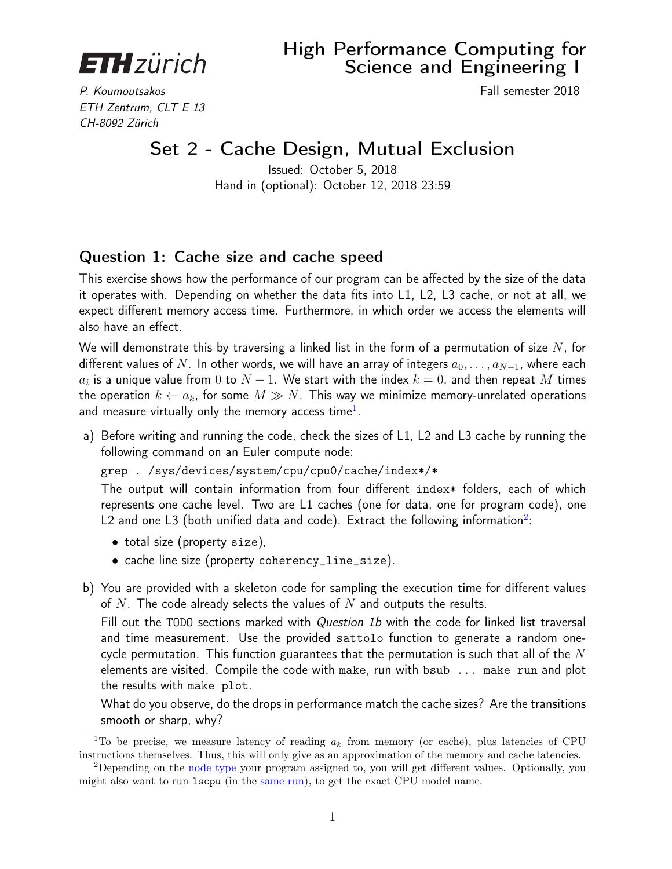<span id="page-0-0"></span>**ETH**zürich

P. Koumoutsakos Fall semester 2018 ETH Zentrum, CLT E 13 CH-8092 Zürich

## Set 2 - Cache Design, Mutual Exclusion

Issued: October 5, 2018 Hand in (optional): October 12, 2018 23:59

## Question 1: Cache size and cache speed

This exercise shows how the performance of our program can be affected by the size of the data it operates with. Depending on whether the data fits into L1, L2, L3 cache, or not at all, we expect different memory access time. Furthermore, in which order we access the elements will also have an effect.

We will demonstrate this by traversing a linked list in the form of a permutation of size  $N$ , for different values of N. In other words, we will have an array of integers  $a_0, \ldots, a_{N-1}$ , where each  $a_i$  is a unique value from  $0$  to  $N-1.$  We start with the index  $k=0,$  and then repeat  $M$  times the operation  $k \leftarrow a_k$ , for some  $M \gg N$ . This way we minimize memory-unrelated operations and measure virtually only the memory access time $^{\rm 1}.$ 

a) Before writing and running the code, check the sizes of L1, L2 and L3 cache by running the following command on an Euler compute node:

grep . /sys/devices/system/cpu/cpu0/cache/index\*/\*

The output will contain information from four different index\* folders, each of which represents one cache level. Two are L1 caches (one for data, one for program code), one L2 and one L3 (both unified data and code). Extract the following information $^2\!$ :

- total size (property size),
- cache line size (property coherency\_line\_size).
- b) You are provided with a skeleton code for sampling the execution time for different values of N. The code already selects the values of N and outputs the results.

Fill out the TODO sections marked with *Question 1b* with the code for linked list traversal and time measurement. Use the provided sattolo function to generate a random onecycle permutation. This function guarantees that the permutation is such that all of the  $N$ elements are visited. Compile the code with make, run with bsub ... make run and plot the results with make plot.

What do you observe, do the drops in performance match the cache sizes? Are the transitions smooth or sharp, why?

<sup>&</sup>lt;sup>1</sup>To be precise, we measure latency of reading  $a_k$  from memory (or cache), plus latencies of CPU instructions themselves. Thus, this will only give as an approximation of the memory and cache latencies.

<sup>2</sup>Depending on the [node type](https://scicomp.ethz.ch/wiki/Euler) your program assigned to, you will get different values. Optionally, you might also want to run lscpu (in the [same run\)](https://scicomp.ethz.ch/wiki/Using_the_batch_system), to get the exact CPU model name.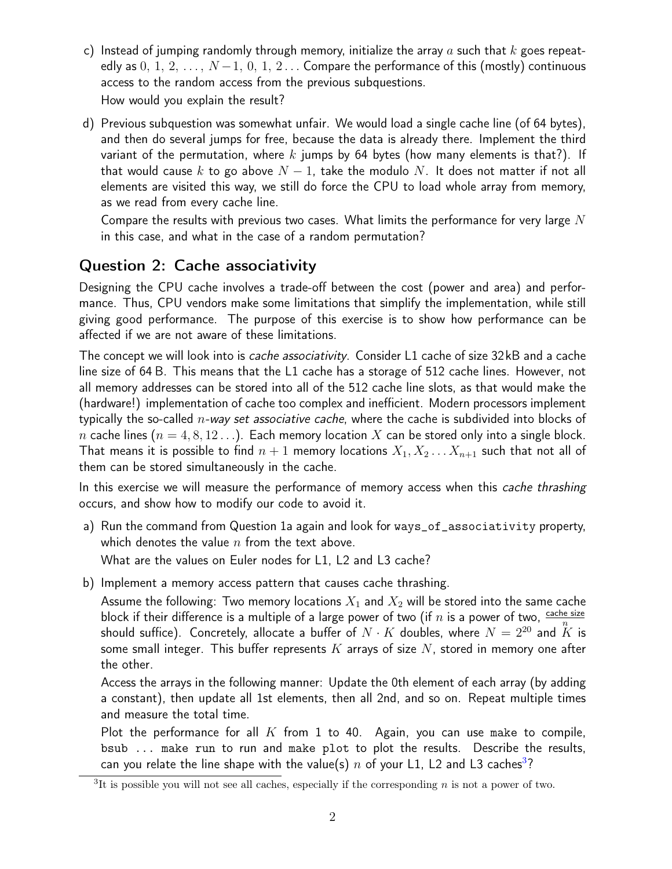- c) Instead of jumping randomly through memory, initialize the array a such that k goes repeatedly as  $0, 1, 2, \ldots, N-1, 0, 1, 2 \ldots$  Compare the performance of this (mostly) continuous access to the random access from the previous subquestions. How would you explain the result?
- d) Previous subquestion was somewhat unfair. We would load a single cache line (of 64 bytes), and then do several jumps for free, because the data is already there. Implement the third variant of the permutation, where k jumps by 64 bytes (how many elements is that?). If that would cause k to go above  $N-1$ , take the modulo N. It does not matter if not all elements are visited this way, we still do force the CPU to load whole array from memory, as we read from every cache line.

Compare the results with previous two cases. What limits the performance for very large  $N$ in this case, and what in the case of a random permutation?

## Question 2: Cache associativity

Designing the CPU cache involves a trade-off between the cost (power and area) and performance. Thus, CPU vendors make some limitations that simplify the implementation, while still giving good performance. The purpose of this exercise is to show how performance can be affected if we are not aware of these limitations.

The concept we will look into is *cache associativity*. Consider L1 cache of size 32kB and a cache line size of 64 B. This means that the L1 cache has a storage of 512 cache lines. However, not all memory addresses can be stored into all of the 512 cache line slots, as that would make the (hardware!) implementation of cache too complex and inefficient. Modern processors implement typically the so-called  $n$ -way set associative cache, where the cache is subdivided into blocks of n cache lines ( $n = 4, 8, 12...$ ). Each memory location X can be stored only into a single block. That means it is possible to find  $n + 1$  memory locations  $X_1, X_2 \ldots X_{n+1}$  such that not all of them can be stored simultaneously in the cache.

In this exercise we will measure the performance of memory access when this *cache thrashing* occurs, and show how to modify our code to avoid it.

- a) Run the command from Question 1a again and look for ways\_of\_associativity property, which denotes the value  $n$  from the text above. What are the values on Euler nodes for L1, L2 and L3 cache?
- b) Implement a memory access pattern that causes cache thrashing.

Assume the following: Two memory locations  $X_1$  and  $X_2$  will be stored into the same cache block if their difference is a multiple of a large power of two (if  $n$  is a power of two,  $\frac{\text{cache size}}{n}$ should suffice). Concretely, allocate a buffer of  $N \cdot K$  doubles, where  $N = 2^{20}$  and  $\tilde{K}$  is some small integer. This buffer represents  $K$  arrays of size  $N$ , stored in memory one after the other.

Access the arrays in the following manner: Update the 0th element of each array (by adding a constant), then update all 1st elements, then all 2nd, and so on. Repeat multiple times and measure the total time.

Plot the performance for all  $K$  from 1 to 40. Again, you can use make to compile, bsub ... make run to run and make plot to plot the results. Describe the results, can you relate the line shape with the value(s)  $n$  of your L1, L2 and L[3](#page-0-0) caches<sup>3</sup>?

<sup>&</sup>lt;sup>3</sup>It is possible you will not see all caches, especially if the corresponding  $n$  is not a power of two.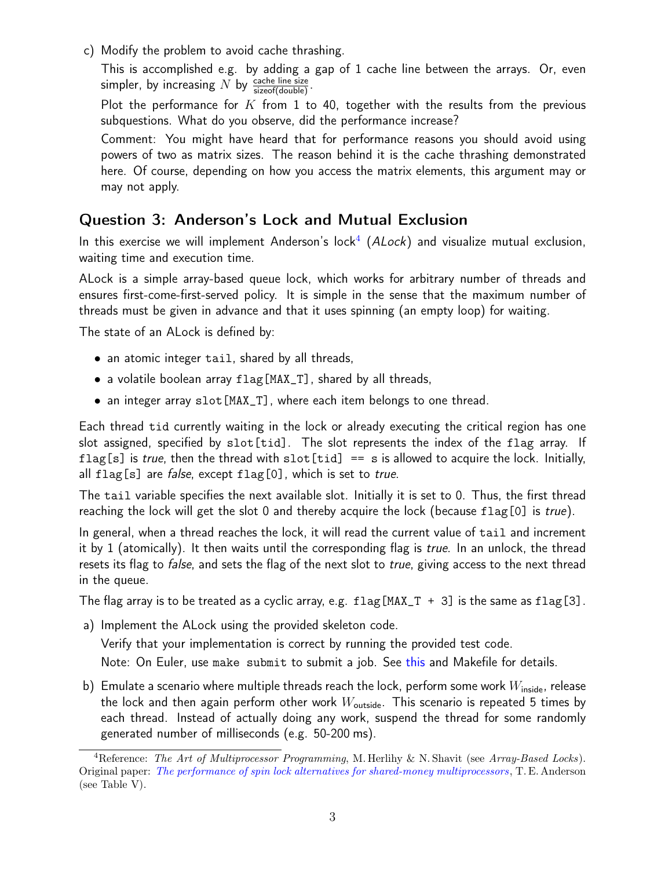c) Modify the problem to avoid cache thrashing.

This is accomplished e.g. by adding a gap of 1 cache line between the arrays. Or, even simpler, by increasing  $N$  by  $\frac{\text{cache line size}}{\text{size of (double)}}$ .

Plot the performance for  $K$  from 1 to 40, together with the results from the previous subquestions. What do you observe, did the performance increase?

Comment: You might have heard that for performance reasons you should avoid using powers of two as matrix sizes. The reason behind it is the cache thrashing demonstrated here. Of course, depending on how you access the matrix elements, this argument may or may not apply.

## Question 3: Anderson's Lock and Mutual Exclusion

In this exercise we will implement Anderson's lock<sup>[4](#page-0-0)</sup> (ALock) and visualize mutual exclusion, waiting time and execution time.

ALock is a simple array-based queue lock, which works for arbitrary number of threads and ensures first-come-first-served policy. It is simple in the sense that the maximum number of threads must be given in advance and that it uses spinning (an empty loop) for waiting.

The state of an ALock is defined by:

- an atomic integer tail, shared by all threads,
- a volatile boolean array flag[MAX\_T], shared by all threads,
- an integer array slot[MAX\_T], where each item belongs to one thread.

Each thread tid currently waiting in the lock or already executing the critical region has one slot assigned, specified by slot[tid]. The slot represents the index of the flag array. If flag[s] is true, then the thread with slot[tid] == s is allowed to acquire the lock. Initially, all  $flag[s]$  are *false*, except  $flag[0]$ , which is set to *true*.

The tail variable specifies the next available slot. Initially it is set to 0. Thus, the first thread reaching the lock will get the slot 0 and thereby acquire the lock (because  $flag[0]$  is *true*).

In general, when a thread reaches the lock, it will read the current value of tail and increment it by 1 (atomically). It then waits until the corresponding flag is true. In an unlock, the thread resets its flag to *false*, and sets the flag of the next slot to *true*, giving access to the next thread in the queue.

The flag array is to be treated as a cyclic array, e.g.  $flag[MAX_T + 3]$  is the same as  $flag[3]$ .

a) Implement the ALock using the provided skeleton code.

Verify that your implementation is correct by running the provided test code.

Note: On Euler, use make submit to submit a job. See [this](https://scicomp.ethz.ch/wiki/Using_the_batch_system#OpenMP) and Makefile for details.

b) Emulate a scenario where multiple threads reach the lock, perform some work  $W_{\text{inside}}$ , release the lock and then again perform other work  $W_{\text{outside}}$ . This scenario is repeated 5 times by each thread. Instead of actually doing any work, suspend the thread for some randomly generated number of milliseconds (e.g. 50-200 ms).

<sup>&</sup>lt;sup>4</sup>Reference: The Art of Multiprocessor Programming, M. Herlihy & N. Shavit (see Array-Based Locks). Original paper: [The performance of spin lock alternatives for shared-money multiprocessors](https://ieeexplore.ieee.org/abstract/document/80120) , T. E. Anderson (see Table V).